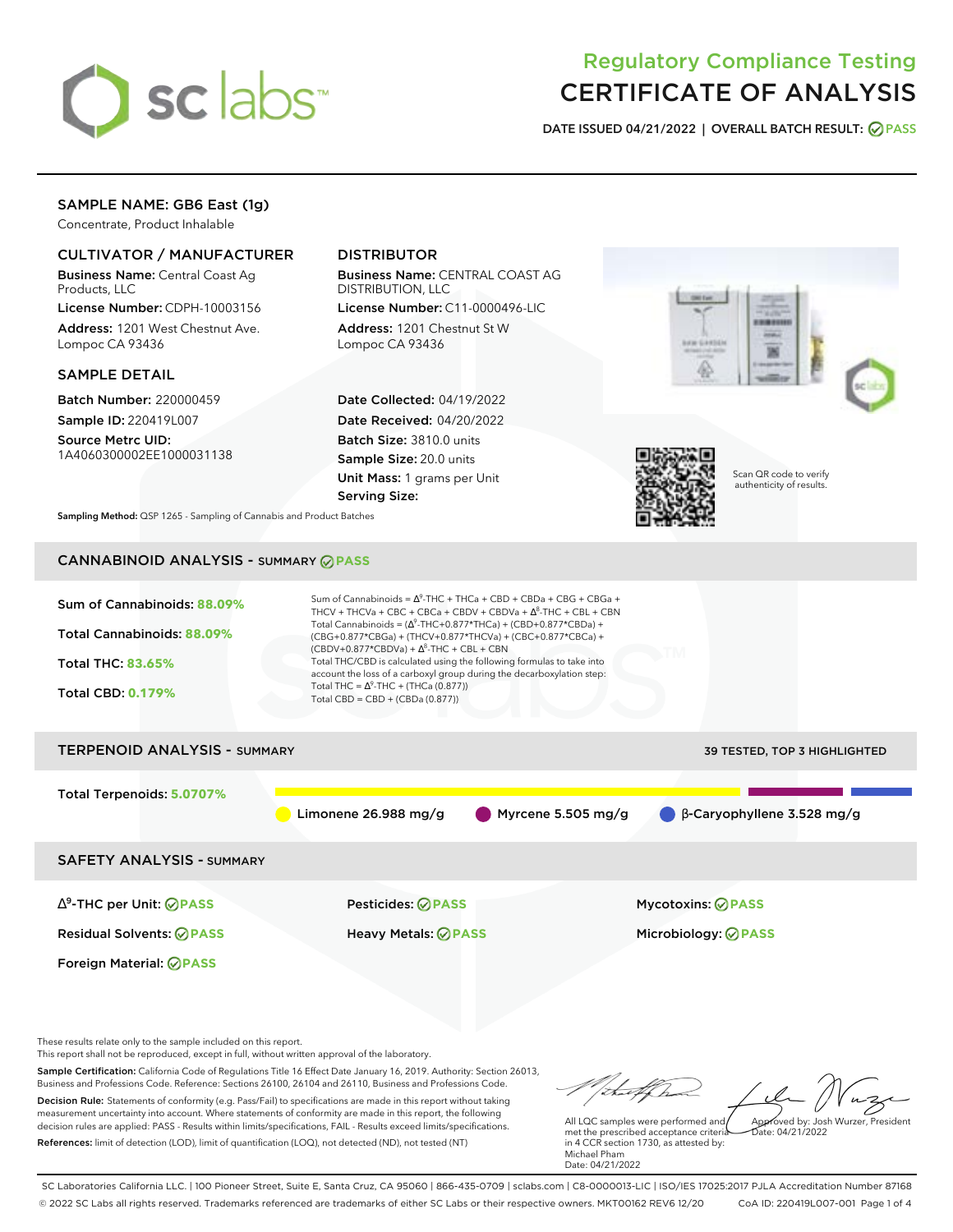

# Regulatory Compliance Testing CERTIFICATE OF ANALYSIS

**DATE ISSUED 04/21/2022 | OVERALL BATCH RESULT: PASS**

### SAMPLE NAME: GB6 East (1g)

Concentrate, Product Inhalable

### CULTIVATOR / MANUFACTURER

Business Name: Central Coast Ag Products, LLC

License Number: CDPH-10003156 Address: 1201 West Chestnut Ave. Lompoc CA 93436

### SAMPLE DETAIL

Batch Number: 220000459 Sample ID: 220419L007

Source Metrc UID: 1A4060300002EE1000031138

## DISTRIBUTOR

Business Name: CENTRAL COAST AG DISTRIBUTION, LLC

License Number: C11-0000496-LIC Address: 1201 Chestnut St W Lompoc CA 93436

Date Collected: 04/19/2022 Date Received: 04/20/2022 Batch Size: 3810.0 units Sample Size: 20.0 units Unit Mass: 1 grams per Unit Serving Size:





Scan QR code to verify authenticity of results.

**Sampling Method:** QSP 1265 - Sampling of Cannabis and Product Batches

# CANNABINOID ANALYSIS - SUMMARY **PASS**



SAFETY ANALYSIS - SUMMARY

∆ 9 -THC per Unit: **PASS** Pesticides: **PASS** Mycotoxins: **PASS**

Foreign Material: **PASS**

Residual Solvents: **PASS** Heavy Metals: **PASS** Microbiology: **PASS**

These results relate only to the sample included on this report.

This report shall not be reproduced, except in full, without written approval of the laboratory.

Sample Certification: California Code of Regulations Title 16 Effect Date January 16, 2019. Authority: Section 26013, Business and Professions Code. Reference: Sections 26100, 26104 and 26110, Business and Professions Code. Decision Rule: Statements of conformity (e.g. Pass/Fail) to specifications are made in this report without taking measurement uncertainty into account. Where statements of conformity are made in this report, the following decision rules are applied: PASS - Results within limits/specifications, FAIL - Results exceed limits/specifications.

References: limit of detection (LOD), limit of quantification (LOQ), not detected (ND), not tested (NT)

Approved by: Josh Wurzer, President

 $hat: 04/21/2022$ 

All LQC samples were performed and met the prescribed acceptance criteria in 4 CCR section 1730, as attested by: Michael Pham Date: 04/21/2022

SC Laboratories California LLC. | 100 Pioneer Street, Suite E, Santa Cruz, CA 95060 | 866-435-0709 | sclabs.com | C8-0000013-LIC | ISO/IES 17025:2017 PJLA Accreditation Number 87168 © 2022 SC Labs all rights reserved. Trademarks referenced are trademarks of either SC Labs or their respective owners. MKT00162 REV6 12/20 CoA ID: 220419L007-001 Page 1 of 4